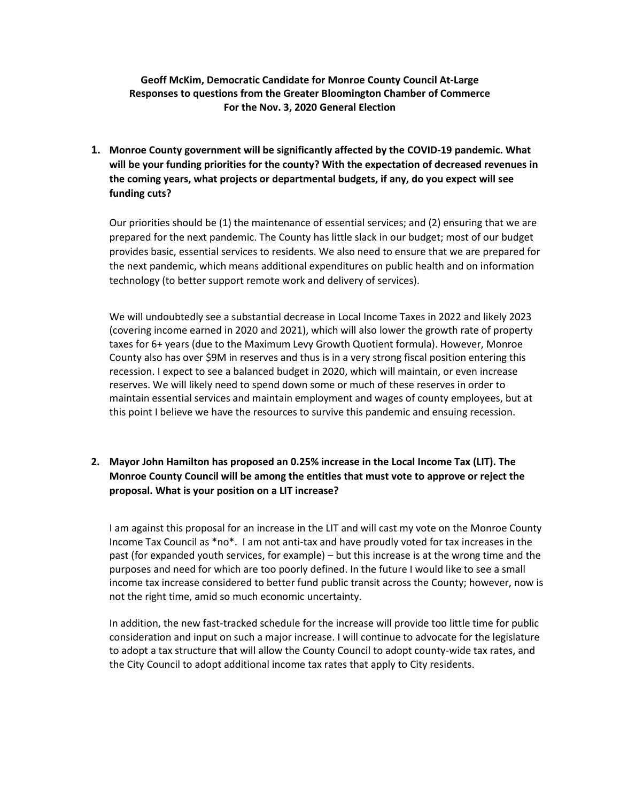## **Geoff McKim, Democratic Candidate for Monroe County Council At-Large Responses to questions from the Greater Bloomington Chamber of Commerce For the Nov. 3, 2020 General Election**

**1. Monroe County government will be significantly affected by the COVID-19 pandemic. What will be your funding priorities for the county? With the expectation of decreased revenues in the coming years, what projects or departmental budgets, if any, do you expect will see funding cuts?**

Our priorities should be (1) the maintenance of essential services; and (2) ensuring that we are prepared for the next pandemic. The County has little slack in our budget; most of our budget provides basic, essential services to residents. We also need to ensure that we are prepared for the next pandemic, which means additional expenditures on public health and on information technology (to better support remote work and delivery of services).

We will undoubtedly see a substantial decrease in Local Income Taxes in 2022 and likely 2023 (covering income earned in 2020 and 2021), which will also lower the growth rate of property taxes for 6+ years (due to the Maximum Levy Growth Quotient formula). However, Monroe County also has over \$9M in reserves and thus is in a very strong fiscal position entering this recession. I expect to see a balanced budget in 2020, which will maintain, or even increase reserves. We will likely need to spend down some or much of these reserves in order to maintain essential services and maintain employment and wages of county employees, but at this point I believe we have the resources to survive this pandemic and ensuing recession.

## **2. Mayor John Hamilton has proposed an 0.25% increase in the Local Income Tax (LIT). The Monroe County Council will be among the entities that must vote to approve or reject the proposal. What is your position on a LIT increase?**

I am against this proposal for an increase in the LIT and will cast my vote on the Monroe County Income Tax Council as \*no\*. I am not anti-tax and have proudly voted for tax increases in the past (for expanded youth services, for example) – but this increase is at the wrong time and the purposes and need for which are too poorly defined. In the future I would like to see a small income tax increase considered to better fund public transit across the County; however, now is not the right time, amid so much economic uncertainty.

In addition, the new fast-tracked schedule for the increase will provide too little time for public consideration and input on such a major increase. I will continue to advocate for the legislature to adopt a tax structure that will allow the County Council to adopt county-wide tax rates, and the City Council to adopt additional income tax rates that apply to City residents.